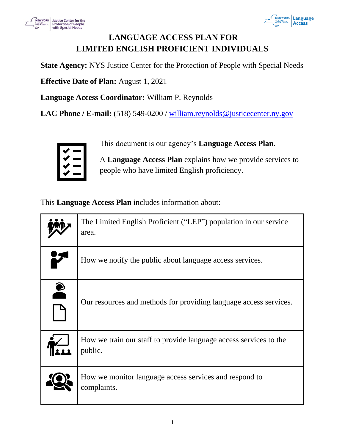



# **LANGUAGE ACCESS PLAN FOR LIMITED ENGLISH PROFICIENT INDIVIDUALS**

**State Agency:** NYS Justice Center for the Protection of People with Special Needs

**Effective Date of Plan:** August 1, 2021

**Language Access Coordinator:** William P. Reynolds

LAC Phone / E-mail: (518) 549-0200 / william.reynolds@justicecenter.ny.gov



This document is our agency's **Language Access Plan**.

A **Language Access Plan** explains how we provide services to people who have limited English proficiency.

This **Language Access Plan** includes information about:

|           | The Limited English Proficient ("LEP") population in our service<br>area.    |
|-----------|------------------------------------------------------------------------------|
|           | How we notify the public about language access services.                     |
| $\bullet$ | Our resources and methods for providing language access services.            |
|           | How we train our staff to provide language access services to the<br>public. |
|           | How we monitor language access services and respond to<br>complaints.        |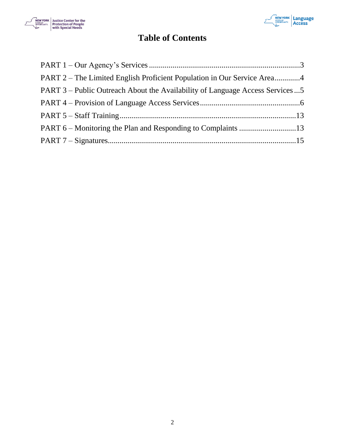



# **Table of Contents**

| PART 2 – The Limited English Proficient Population in Our Service Area4        |  |
|--------------------------------------------------------------------------------|--|
| PART 3 – Public Outreach About the Availability of Language Access Services  5 |  |
|                                                                                |  |
|                                                                                |  |
|                                                                                |  |
|                                                                                |  |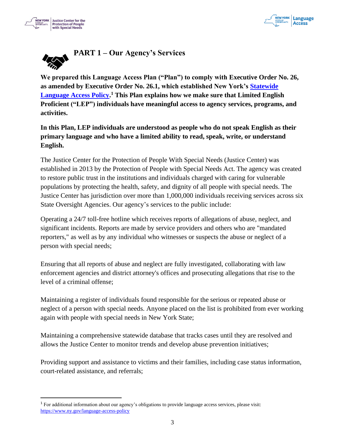



<span id="page-2-0"></span>

**We prepared this Language Access Plan ("Plan") to comply with Executive Order No. 26, as amended by Executive Order No. 26.1, which established New York's Statewide Language Access Policy. <sup>1</sup> This Plan explains how we make sure that Limited English Proficient ("LEP") individuals have meaningful access to agency services, programs, and activities.**

**In this Plan, LEP individuals are understood as people who do not speak English as their primary language and who have a limited ability to read, speak, write, or understand English.** 

The Justice Center for the Protection of People With Special Needs (Justice Center) was established in 2013 by the Protection of People with Special Needs Act. The agency was created to restore public trust in the institutions and individuals charged with caring for vulnerable populations by protecting the health, safety, and dignity of all people with special needs. The Justice Center has jurisdiction over more than 1,000,000 individuals receiving services across six State Oversight Agencies. Our agency's services to the public include:

Operating a 24/7 toll-free hotline which receives reports of allegations of abuse, neglect, and significant incidents. Reports are made by service providers and others who are "mandated reporters," as well as by any individual who witnesses or suspects the abuse or neglect of a person with special needs;

Ensuring that all reports of abuse and neglect are fully investigated, collaborating with law enforcement agencies and district attorney's offices and prosecuting allegations that rise to the level of a criminal offense;

Maintaining a register of individuals found responsible for the serious or repeated abuse or neglect of a person with special needs. Anyone placed on the list is prohibited from ever working again with people with special needs in New York State;

Maintaining a comprehensive statewide database that tracks cases until they are resolved and allows the Justice Center to monitor trends and develop abuse prevention initiatives;

Providing support and assistance to victims and their families, including case status information, court-related assistance, and referrals;

<sup>1</sup> For additional information about our agency's obligations to provide language access services, please visit: https://www.ny.gov/language-access-policy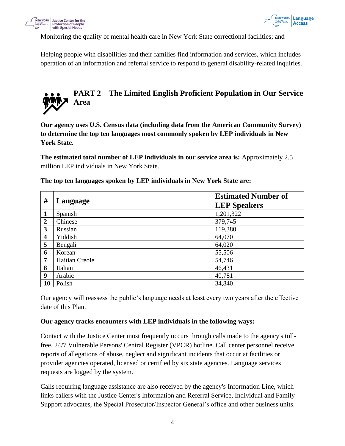



Monitoring the quality of mental health care in New York State correctional facilities; and

Helping people with disabilities and their families find information and services, which includes operation of an information and referral service to respond to general disability-related inquiries.

# <span id="page-3-0"></span>**PART 2 – The Limited English Proficient Population in Our Service Area**

**Our agency uses U.S. Census data (including data from the American Community Survey) to determine the top ten languages most commonly spoken by LEP individuals in New York State.** 

**The estimated total number of LEP individuals in our service area is:** Approximately 2.5 million LEP individuals in New York State.

| #                | Language              | <b>Estimated Number of</b><br><b>LEP Speakers</b> |
|------------------|-----------------------|---------------------------------------------------|
| 1                | Spanish               | 1,201,322                                         |
| $\overline{2}$   | Chinese               | 379,745                                           |
| 3                | Russian               | 119,380                                           |
| $\boldsymbol{4}$ | Yiddish               | 64,070                                            |
| 5                | Bengali               | 64,020                                            |
| 6                | Korean                | 55,506                                            |
| $\overline{7}$   | <b>Haitian Creole</b> | 54,746                                            |
| 8                | Italian               | 46,431                                            |
| $\boldsymbol{9}$ | Arabic                | 40,781                                            |
| 10               | Polish                | 34,840                                            |

**The top ten languages spoken by LEP individuals in New York State are:**

Our agency will reassess the public's language needs at least every two years after the effective date of this Plan.

#### **Our agency tracks encounters with LEP individuals in the following ways:**

Contact with the Justice Center most frequently occurs through calls made to the agency's tollfree, 24/7 Vulnerable Persons' Central Register (VPCR) hotline. Call center personnel receive reports of allegations of abuse, neglect and significant incidents that occur at facilities or provider agencies operated, licensed or certified by six state agencies. Language services requests are logged by the system.

Calls requiring language assistance are also received by the agency's Information Line, which links callers with the Justice Center's Information and Referral Service, Individual and Family Support advocates, the Special Prosecutor/Inspector General's office and other business units.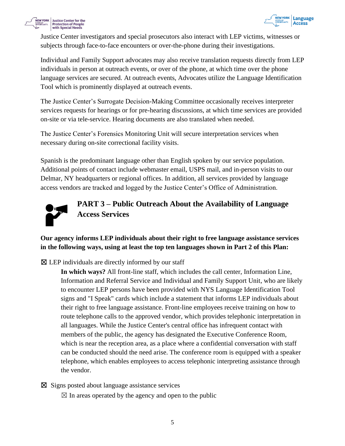



Justice Center investigators and special prosecutors also interact with LEP victims, witnesses or subjects through face-to-face encounters or over-the-phone during their investigations.

Individual and Family Support advocates may also receive translation requests directly from LEP individuals in person at outreach events, or over of the phone, at which time over the phone language services are secured. At outreach events, Advocates utilize the Language Identification Tool which is prominently displayed at outreach events.

The Justice Center's Surrogate Decision-Making Committee occasionally receives interpreter services requests for hearings or for pre-hearing discussions, at which time services are provided on-site or via tele-service. Hearing documents are also translated when needed.

The Justice Center's Forensics Monitoring Unit will secure interpretation services when necessary during on-site correctional facility visits.

Spanish is the predominant language other than English spoken by our service population. Additional points of contact include webmaster email, USPS mail, and in-person visits to our Delmar, NY headquarters or regional offices. In addition, all services provided by language access vendors are tracked and logged by the Justice Center's Office of Administration.



<span id="page-4-0"></span>**PART 3 – Public Outreach About the Availability of Language Access Services**

# **Our agency informs LEP individuals about their right to free language assistance services in the following ways, using at least the top ten languages shown in Part 2 of this Plan:**

 $\boxtimes$  LEP individuals are directly informed by our staff

**In which ways?** All front-line staff, which includes the call center, Information Line, Information and Referral Service and Individual and Family Support Unit, who are likely to encounter LEP persons have been provided with NYS Language Identification Tool signs and "I Speak" cards which include a statement that informs LEP individuals about their right to free language assistance. Front-line employees receive training on how to route telephone calls to the approved vendor, which provides telephonic interpretation in all languages. While the Justice Center's central office has infrequent contact with members of the public, the agency has designated the Executive Conference Room, which is near the reception area, as a place where a confidential conversation with staff can be conducted should the need arise. The conference room is equipped with a speaker telephone, which enables employees to access telephonic interpreting assistance through the vendor.

☒ Signs posted about language assistance services

 $\boxtimes$  In areas operated by the agency and open to the public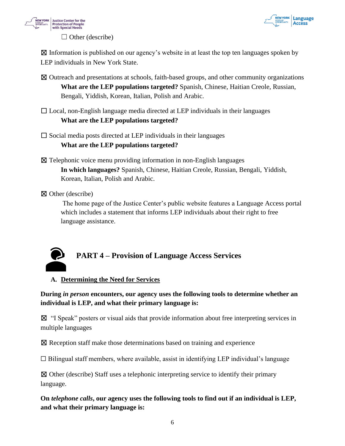



 $\Box$  Other (describe)

 $\boxtimes$  Information is published on our agency's website in at least the top ten languages spoken by LEP individuals in New York State.

- ☒ Outreach and presentations at schools, faith-based groups, and other community organizations **What are the LEP populations targeted?** Spanish, Chinese, Haitian Creole, Russian, Bengali, Yiddish, Korean, Italian, Polish and Arabic.
- $\Box$  Local, non-English language media directed at LEP individuals in their languages **What are the LEP populations targeted?**

 $\square$  Social media posts directed at LEP individuals in their languages

# **What are the LEP populations targeted?**

☒ Telephonic voice menu providing information in non-English languages **In which languages?** Spanish, Chinese, Haitian Creole, Russian, Bengali, Yiddish, Korean, Italian, Polish and Arabic.

☒ Other (describe)

The home page of the Justice Center's public website features a Language Access portal which includes a statement that informs LEP individuals about their right to free language assistance.



# <span id="page-5-0"></span>**PART 4 – Provision of Language Access Services**

**A. Determining the Need for Services**

**During** *in person* **encounters, our agency uses the following tools to determine whether an individual is LEP, and what their primary language is:**

☒ "I Speak" posters or visual aids that provide information about free interpreting services in multiple languages

☒ Reception staff make those determinations based on training and experience

 $\Box$  Bilingual staff members, where available, assist in identifying LEP individual's language

 $\boxtimes$  Other (describe) Staff uses a telephonic interpreting service to identify their primary language.

**On** *telephone calls***, our agency uses the following tools to find out if an individual is LEP, and what their primary language is:**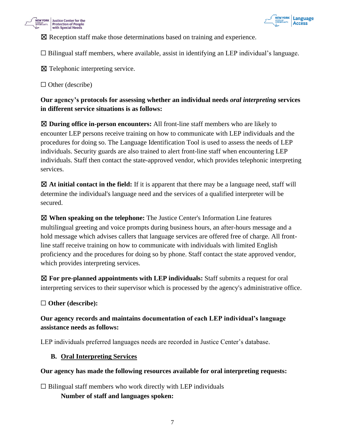



☒ Reception staff make those determinations based on training and experience.

 $\Box$  Bilingual staff members, where available, assist in identifying an LEP individual's language.

⊠ Telephonic interpreting service.

 $\Box$  Other (describe)

**Our agency's protocols for assessing whether an individual needs** *oral interpreting* **services in different service situations is as follows:**

☒ **During office in-person encounters:** All front-line staff members who are likely to encounter LEP persons receive training on how to communicate with LEP individuals and the procedures for doing so. The Language Identification Tool is used to assess the needs of LEP individuals. Security guards are also trained to alert front-line staff when encountering LEP individuals. Staff then contact the state-approved vendor, which provides telephonic interpreting services.

☒ **At initial contact in the field:** If it is apparent that there may be a language need, staff will determine the individual's language need and the services of a qualified interpreter will be secured.

☒ **When speaking on the telephone:** The Justice Center's Information Line features multilingual greeting and voice prompts during business hours, an after-hours message and a hold message which advises callers that language services are offered free of charge. All frontline staff receive training on how to communicate with individuals with limited English proficiency and the procedures for doing so by phone. Staff contact the state approved vendor, which provides interpreting services.

☒ **For pre-planned appointments with LEP individuals:** Staff submits a request for oral interpreting services to their supervisor which is processed by the agency's administrative office.

☐ **Other (describe):**

### **Our agency records and maintains documentation of each LEP individual's language assistance needs as follows:**

LEP individuals preferred languages needs are recorded in Justice Center's database.

#### **B. Oral Interpreting Services**

#### **Our agency has made the following resources available for oral interpreting requests:**

 $\Box$  Bilingual staff members who work directly with LEP individuals

**Number of staff and languages spoken:**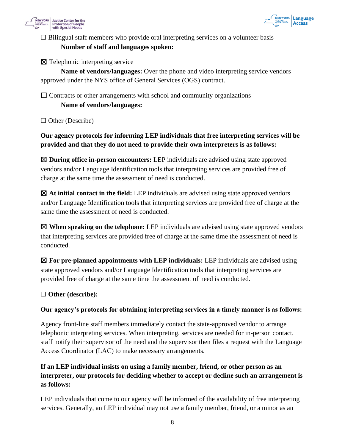



# $\Box$  Bilingual staff members who provide oral interpreting services on a volunteer basis **Number of staff and languages spoken:**

☒ Telephonic interpreting service

**Name of vendors/languages:** Over the phone and video interpreting service vendors approved under the NYS office of General Services (OGS) contract.

 $\Box$  Contracts or other arrangements with school and community organizations

### **Name of vendors/languages:**

☐ Other (Describe)

# **Our agency protocols for informing LEP individuals that free interpreting services will be provided and that they do not need to provide their own interpreters is as follows:**

☒ **During office in-person encounters:** LEP individuals are advised using state approved vendors and/or Language Identification tools that interpreting services are provided free of charge at the same time the assessment of need is conducted.

☒ **At initial contact in the field:** LEP individuals are advised using state approved vendors and/or Language Identification tools that interpreting services are provided free of charge at the same time the assessment of need is conducted.

☒ **When speaking on the telephone:** LEP individuals are advised using state approved vendors that interpreting services are provided free of charge at the same time the assessment of need is conducted.

☒ **For pre-planned appointments with LEP individuals:** LEP individuals are advised using state approved vendors and/or Language Identification tools that interpreting services are provided free of charge at the same time the assessment of need is conducted.

#### ☐ **Other (describe):**

#### **Our agency's protocols for obtaining interpreting services in a timely manner is as follows:**

Agency front-line staff members immediately contact the state-approved vendor to arrange telephonic interpreting services. When interpreting, services are needed for in-person contact, staff notify their supervisor of the need and the supervisor then files a request with the Language Access Coordinator (LAC) to make necessary arrangements.

# **If an LEP individual insists on using a family member, friend, or other person as an interpreter, our protocols for deciding whether to accept or decline such an arrangement is as follows:**

LEP individuals that come to our agency will be informed of the availability of free interpreting services. Generally, an LEP individual may not use a family member, friend, or a minor as an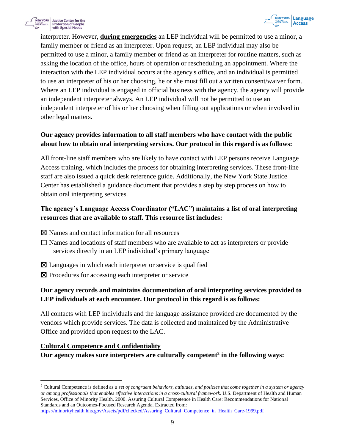



interpreter. However, **during emergencies** an LEP individual will be permitted to use a minor, a family member or friend as an interpreter. Upon request, an LEP individual may also be permitted to use a minor, a family member or friend as an interpreter for routine matters, such as asking the location of the office, hours of operation or rescheduling an appointment. Where the interaction with the LEP individual occurs at the agency's office, and an individual is permitted to use an interpreter of his or her choosing, he or she must fill out a written consent/waiver form. Where an LEP individual is engaged in official business with the agency, the agency will provide an independent interpreter always. An LEP individual will not be permitted to use an independent interpreter of his or her choosing when filling out applications or when involved in other legal matters.

## **Our agency provides information to all staff members who have contact with the public about how to obtain oral interpreting services. Our protocol in this regard is as follows:**

All front-line staff members who are likely to have contact with LEP persons receive Language Access training, which includes the process for obtaining interpreting services. These front-line staff are also issued a quick desk reference guide. Additionally, the New York State Justice Center has established a guidance document that provides a step by step process on how to obtain oral interpreting services.

## **The agency's Language Access Coordinator ("LAC") maintains a list of oral interpreting resources that are available to staff. This resource list includes:**

- ☒ Names and contact information for all resources
- $\Box$  Names and locations of staff members who are available to act as interpreters or provide services directly in an LEP individual's primary language
- ⊠ Languages in which each interpreter or service is qualified
- ⊠ Procedures for accessing each interpreter or service

# **Our agency records and maintains documentation of oral interpreting services provided to LEP individuals at each encounter. Our protocol in this regard is as follows:**

All contacts with LEP individuals and the language assistance provided are documented by the vendors which provide services. The data is collected and maintained by the Administrative Office and provided upon request to the LAC.

#### **Cultural Competence and Confidentiality**

**Our agency makes sure interpreters are culturally competent 2 in the following ways:**

https://minorityhealth.hhs.gov/Assets/pdf/checked/Assuring\_Cultural\_Competence\_in\_Health\_Care-1999.pdf

<sup>2</sup> Cultural Competence is defined as *a set of congruent behaviors, attitudes, and policies that come together in a system or agency or among professionals that enables effective interactions in a cross-cultural framework.* U.S. Department of Health and Human Services, Office of Minority Health. 2000. Assuring Cultural Competence in Health Care: Recommendations for National Standards and an Outcomes-Focused Research Agenda. Extracted from: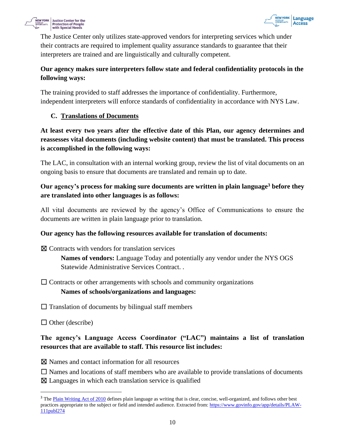



The Justice Center only utilizes state-approved vendors for interpreting services which under their contracts are required to implement quality assurance standards to guarantee that their interpreters are trained and are linguistically and culturally competent.

# **Our agency makes sure interpreters follow state and federal confidentiality protocols in the following ways:**

The training provided to staff addresses the importance of confidentiality. Furthermore, independent interpreters will enforce standards of confidentiality in accordance with NYS Law.

# **C. Translations of Documents**

**At least every two years after the effective date of this Plan, our agency determines and reassesses vital documents (including website content) that must be translated. This process is accomplished in the following ways:**

The LAC, in consultation with an internal working group, review the list of vital documents on an ongoing basis to ensure that documents are translated and remain up to date.

# **Our agency's process for making sure documents are written in plain language<sup>3</sup> before they are translated into other languages is as follows:**

All vital documents are reviewed by the agency's Office of Communications to ensure the documents are written in plain language prior to translation.

#### **Our agency has the following resources available for translation of documents:**

 $\boxtimes$  Contracts with vendors for translation services

**Names of vendors:** Language Today and potentially any vendor under the NYS OGS Statewide Administrative Services Contract. .

 $\Box$  Contracts or other arrangements with schools and community organizations

#### **Names of schools/organizations and languages:**

 $\Box$  Translation of documents by bilingual staff members

 $\Box$  Other (describe)

# **The agency's Language Access Coordinator ("LAC") maintains a list of translation resources that are available to staff. This resource list includes:**

☒ Names and contact information for all resources

 $\Box$  Names and locations of staff members who are available to provide translations of documents

 $\boxtimes$  Languages in which each translation service is qualified

<sup>&</sup>lt;sup>3</sup> The Plain Writing Act of 2010 defines plain language as writing that is clear, concise, well-organized, and follows other best practices appropriate to the subject or field and intended audience. Extracted from: https://www.govinfo.gov/app/details/PLAW-111publ274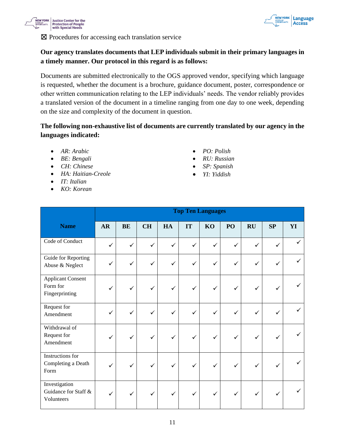



☒ Procedures for accessing each translation service

## **Our agency translates documents that LEP individuals submit in their primary languages in a timely manner. Our protocol in this regard is as follows:**

Documents are submitted electronically to the OGS approved vendor, specifying which language is requested, whether the document is a brochure, guidance document, poster, correspondence or other written communication relating to the LEP individuals' needs. The vendor reliably provides a translated version of the document in a timeline ranging from one day to one week, depending on the size and complexity of the document in question.

## **The following non-exhaustive list of documents are currently translated by our agency in the languages indicated:**

- *AR: Arabic*
- *BE: Bengali*
- *CH: Chinese*
- *HA: Haitian-Creole*
- *IT: Italian*
- *KO: Korean*
- *PO: Polish*
- *RU: Russian*
- *SP: Spanish*
- *YI: Yiddish*

|                                                        | <b>Top Ten Languages</b> |              |              |              |              |              |              |              |              |              |
|--------------------------------------------------------|--------------------------|--------------|--------------|--------------|--------------|--------------|--------------|--------------|--------------|--------------|
| <b>Name</b>                                            | <b>AR</b>                | BE           | <b>CH</b>    | HA           | IT           | KO           | PO           | <b>RU</b>    | SP           | YI           |
| Code of Conduct                                        | $\checkmark$             | ✓            | ✓            | ✓            | ✓            | ✓            | ✓            | ✓            | $\checkmark$ | $\checkmark$ |
| Guide for Reporting<br>Abuse & Neglect                 | ✓                        | ✓            | ✓            | ✓            | $\checkmark$ | ✓            | $\checkmark$ | ✓            | ✓            |              |
| <b>Applicant Consent</b><br>Form for<br>Fingerprinting | ✓                        |              | ✓            | ✓            | ✓            | ✓            | ✓            | $\checkmark$ | ✓            |              |
| Request for<br>Amendment                               | ✓                        | ✓            | $\checkmark$ | ✓            | $\checkmark$ | ✓            | ✓            | ✓            | ✓            |              |
| Withdrawal of<br>Request for<br>Amendment              | ✓                        | ✓            | ✓            | ✓            | ✓            | ✓            | ✓            |              | ✓            |              |
| Instructions for<br>Completing a Death<br>Form         | ✓                        | ✓            | $\checkmark$ | ✓            | ✓            | ✓            | $\checkmark$ | ✓            | ✓            |              |
| Investigation<br>Guidance for Staff &<br>Volunteers    | ✓                        | $\checkmark$ | $\checkmark$ | $\checkmark$ | $\checkmark$ | $\checkmark$ | ✓            | $\checkmark$ | $\checkmark$ |              |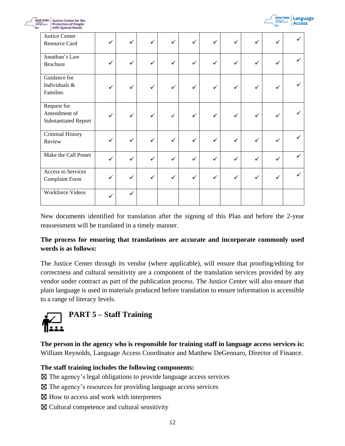

✓

✓

✓

✓

✓

✓

✓

| <b>Justice Center for the</b><br><b>NEW YORK</b><br>STATE OF OPPORTUNITY.<br><b>Protection of People</b><br>with Special Needs |   |   |   |              |   |   |   | <b>STATE OF</b> |
|--------------------------------------------------------------------------------------------------------------------------------|---|---|---|--------------|---|---|---|-----------------|
| Justice Center<br>Resource Card                                                                                                | ✓ | ✓ | ✓ | $\checkmark$ |   | ✓ | ✓ |                 |
| Jonathan's Law<br><b>Brochure</b>                                                                                              |   |   |   |              |   | ✓ |   |                 |
| Guidance for<br>Individuals &<br>Families                                                                                      |   | ✓ |   |              |   | ✓ |   |                 |
| Request for<br>Amendment of<br><b>Substantiated Report</b>                                                                     |   |   | ✓ |              | ✓ | ✓ |   |                 |
| Criminal History<br>Review                                                                                                     |   |   |   |              |   | ✓ |   |                 |
| Make the Call Poster                                                                                                           |   |   |   |              |   | ✓ |   |                 |
| Access to Services<br><b>Complaint Form</b>                                                                                    |   |   |   |              |   |   |   |                 |

New documents identified for translation after the signing of this Plan and before the 2-year reassessment will be translated in a timely manner.

### **The process for ensuring that translations are accurate and incorporate commonly used words is as follows:**

The Justice Center through its vendor (where applicable), will ensure that proofing/editing for correctness and cultural sensitivity are a component of the translation services provided by any vendor under contract as part of the publication process. The Justice Center will also ensure that plain language is used in materials produced before translation to ensure information is accessible to a range of literacy levels.

<span id="page-11-0"></span>

Workforce Videos ✓

**The person in the agency who is responsible for training staff in language access services is:** William Reynolds, Language Access Coordinator and Matthew DeGennaro, Director of Finance.

**The staff training includes the following components:**

- ☒ The agency's legal obligations to provide language access services
- ☒ The agency's resources for providing language access services

✓

- $\boxtimes$  How to access and work with interpreters
- ☒ Cultural competence and cultural sensitivity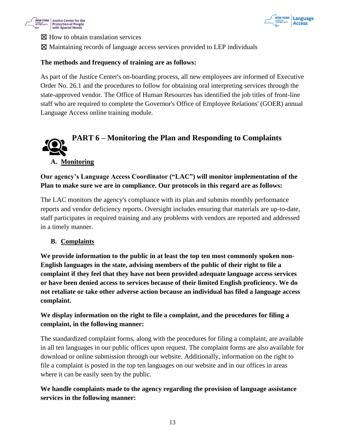



⊠ How to obtain translation services

☒ Maintaining records of language access services provided to LEP individuals

#### **The methods and frequency of training are as follows:**

As part of the Justice Center's on-boarding process, all new employees are informed of Executive Order No. 26.1 and the procedures to follow for obtaining oral interpreting services through the state-approved vendor. The Office of Human Resources has identified the job titles of front-line staff who are required to complete the Governor's Office of Employee Relations' (GOER) annual Language Access online training module.

<span id="page-12-0"></span>

#### **A. Monitoring**

### **Our agency's Language Access Coordinator ("LAC") will monitor implementation of the Plan to make sure we are in compliance. Our protocols in this regard are as follows:**

The LAC monitors the agency's compliance with its plan and submits monthly performance reports and vendor deficiency reports. Oversight includes ensuring that materials are up-to-date, staff participates in required training and any problems with vendors are reported and addressed in a timely manner.

#### **B. Complaints**

**We provide information to the public in at least the top ten most commonly spoken non-English languages in the state, advising members of the public of their right to file a complaint if they feel that they have not been provided adequate language access services or have been denied access to services because of their limited English proficiency. We do not retaliate or take other adverse action because an individual has filed a language access complaint.** 

# **We display information on the right to file a complaint, and the procedures for filing a complaint, in the following manner:**

The standardized complaint forms, along with the procedures for filing a complaint, are available in all ten languages in our public offices upon request. The complaint forms are also available for download or online submission through our website. Additionally, information on the right to file a complaint is posted in the top ten languages on our website and in our offices in areas where it can be easily seen by the public.

# **We handle complaints made to the agency regarding the provision of language assistance services in the following manner:**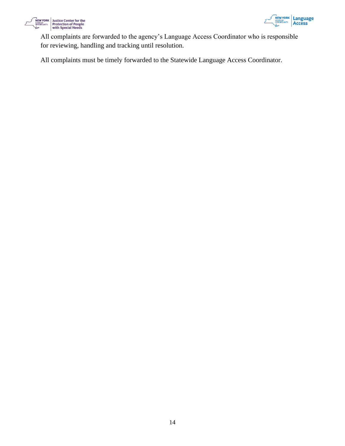



All complaints are forwarded to the agency's Language Access Coordinator who is responsible for reviewing, handling and tracking until resolution.

<span id="page-13-0"></span>All complaints must be timely forwarded to the Statewide Language Access Coordinator.